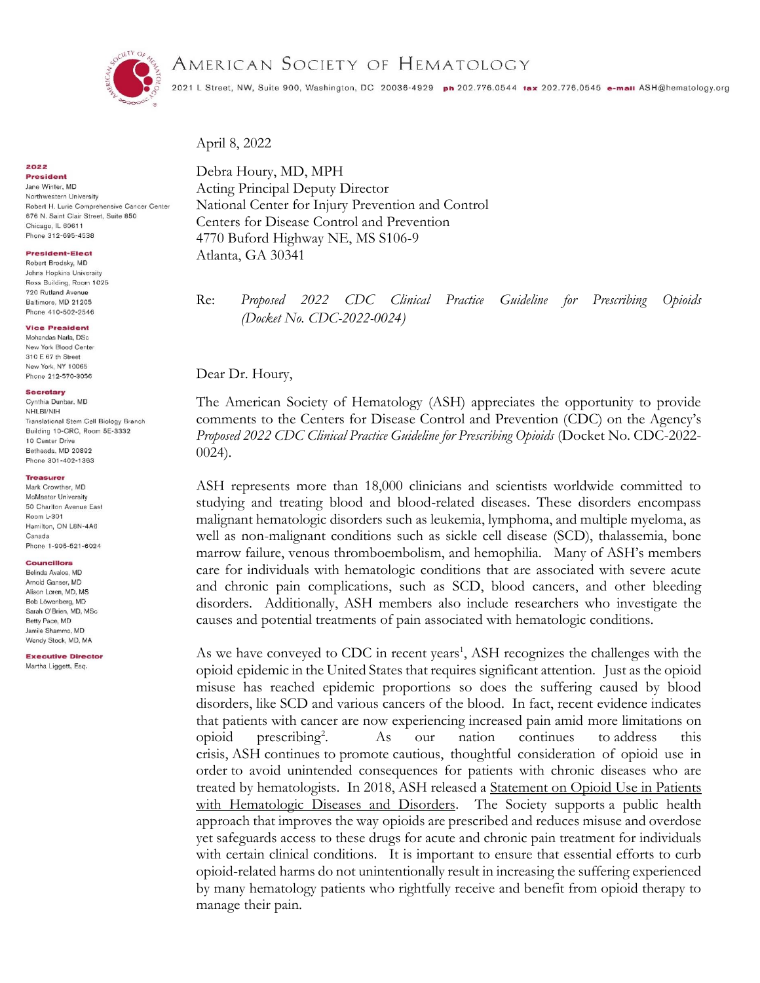

# AMERICAN SOCIETY OF HEMATOLOGY

2021 L Street, NW, Suite 900, Washington, DC 20036-4929 ph 202.776.0544 tax 202.776.0545 e-mail ASH@hematology.org

April 8, 2022

Debra Houry, MD, MPH Acting Principal Deputy Director National Center for Injury Prevention and Control Centers for Disease Control and Prevention 4770 Buford Highway NE, MS S106-9 Atlanta, GA 30341

Re: *Proposed 2022 CDC Clinical Practice Guideline for Prescribing Opioids (Docket No. CDC-2022-0024)* 

Dear Dr. Houry,

The American Society of Hematology (ASH) appreciates the opportunity to provide comments to the Centers for Disease Control and Prevention (CDC) on the Agency's *Proposed 2022 CDC Clinical Practice Guideline for Prescribing Opioids* (Docket No. CDC-2022- 0024).

ASH represents more than 18,000 clinicians and scientists worldwide committed to studying and treating blood and blood-related diseases. These disorders encompass malignant hematologic disorders such as leukemia, lymphoma, and multiple myeloma, as well as non-malignant conditions such as sickle cell disease (SCD), thalassemia, bone marrow failure, venous thromboembolism, and hemophilia. Many of ASH's members care for individuals with hematologic conditions that are associated with severe acute and chronic pain complications, such as SCD, blood cancers, and other bleeding disorders. Additionally, ASH members also include researchers who investigate the causes and potential treatments of pain associated with hematologic conditions.

As we have conveyed to CDC in recent years<sup>1</sup>, ASH recognizes the challenges with the opioid epidemic in the United States that requires significant attention. Just as the opioid misuse has reached epidemic proportions so does the suffering caused by blood disorders, like SCD and various cancers of the blood. In fact, recent evidence indicates that patients with cancer are now experiencing increased pain amid more limitations on  $\omega$ opioid prescribing<sup>2</sup>. . As our nation continues to address this crisis, ASH continues to promote cautious, thoughtful consideration of opioid use in order to avoid unintended consequences for patients with chronic diseases who are treated by hematologists. In 2018, ASH released a Statement on [Opioid Use in Patients](http://www.hematology.org/Advocacy/Statements/8502.aspx)  [with Hematologic Diseases and Disorders.](http://www.hematology.org/Advocacy/Statements/8502.aspx) The Society supports a public health approach that improves the way opioids are prescribed and reduces misuse and overdose yet safeguards access to these drugs for acute and chronic pain treatment for individuals with certain clinical conditions. It is important to ensure that essential efforts to curb opioid-related harms do not unintentionally result in increasing the suffering experienced by many hematology patients who rightfully receive and benefit from opioid therapy to manage their pain.

2022

**President** Jane Winter, MD Northwestern University Robert H. Lurie Comprehensive Cancer Center 676 N. Saint Clair Street, Suite 850 Chicago, IL 60611 Phone 312-695-4538

# **President-Elect**

Robert Brodsky, MD Johns Hopkins University Ross Building, Room 1025 720 Rutland Avenue Baltimore, MD 21205 Phone 410-502-2546

## **Vice President**

Mohandas Narla, DSc New York Blood Center 310 E 67 th Street New York, NY 10065 Phone 212-570-3056

#### **Secretary** Cynthia Dunbar, MD

NHLBI/NIH Translational Stem Cell Biology Branch Building 10-CRC, Room 5E-3332 10 Center Drive Bethesda, MD 20892 Phone 301-402-1363

# Treasurer

Mark Crowther, MD McMaster University 50 Charlton Avenue East Room L-301 Hamilton, ON L8N-4A6 Canada Phone 1-905-521-6024

### Councillors

Belinda Avalos MD Arnold Ganser, MD Alison Loren, MD, MS Bob Löwenberg, MD Sarah O'Brien, MD, MSc Betty Pace, MD Jamile Shammo, MD Wendy Stock, MD, MA

**Executive Director** Martha Liggett, Esg.